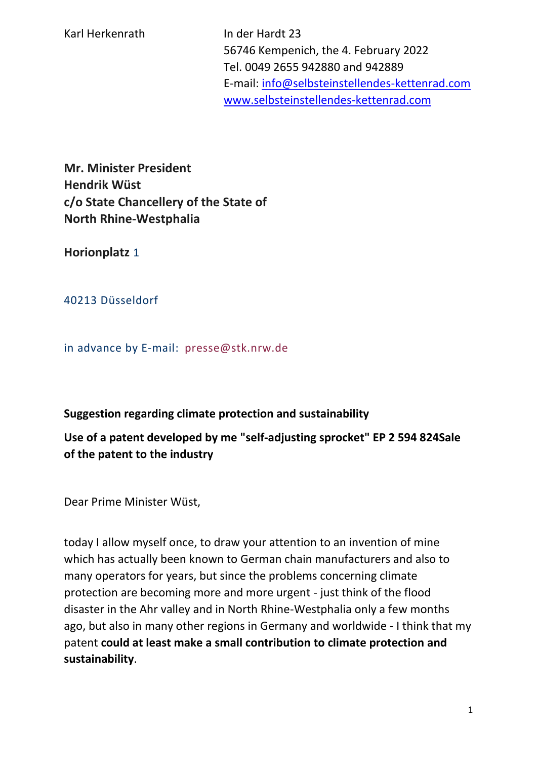56746 Kempenich, the 4. February 2022 Tel. 0049 2655 942880 and 942889 E-mail: [info@selbsteinstellendes-kettenrad.com](mailto:info@selbsteinstellendes-kettenrad.com) [www.selbsteinstellendes-kettenrad.com](http://www.selbsteinstellendes-kettenrad.com/)

**Mr. Minister President Hendrik Wüst c/o State Chancellery of the State of North Rhine-Westphalia**

**Horionplatz** 1

40213 Düsseldorf

in advance by E-mail: presse@stk.nrw.de

## **Suggestion regarding climate protection and sustainability**

**Use of a patent developed by me "self-adjusting sprocket" EP 2 594 824Sale of the patent to the industry**

Dear Prime Minister Wüst,

today I allow myself once, to draw your attention to an invention of mine which has actually been known to German chain manufacturers and also to many operators for years, but since the problems concerning climate protection are becoming more and more urgent - just think of the flood disaster in the Ahr valley and in North Rhine-Westphalia only a few months ago, but also in many other regions in Germany and worldwide - I think that my patent **could at least make a small contribution to climate protection and sustainability**.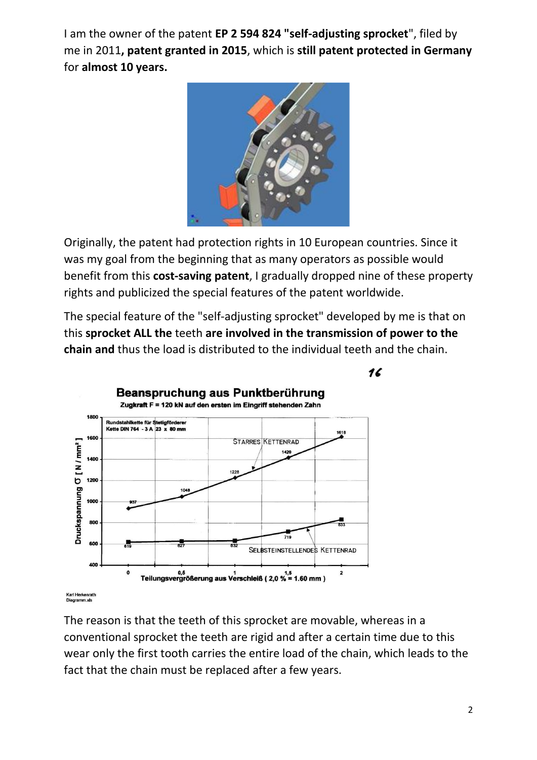I am the owner of the patent **EP 2 594 824 "self-adjusting sprocket**", filed by me in 2011**, patent granted in 2015**, which is **still patent protected in Germany**  for **almost 10 years.** 



Originally, the patent had protection rights in 10 European countries. Since it was my goal from the beginning that as many operators as possible would benefit from this **cost-saving patent**, I gradually dropped nine of these property rights and publicized the special features of the patent worldwide.

The special feature of the "self-adjusting sprocket" developed by me is that on this **sprocket ALL the** teeth **are involved in the transmission of power to the chain and** thus the load is distributed to the individual teeth and the chain.



The reason is that the teeth of this sprocket are movable, whereas in a conventional sprocket the teeth are rigid and after a certain time due to this wear only the first tooth carries the entire load of the chain, which leads to the fact that the chain must be replaced after a few years.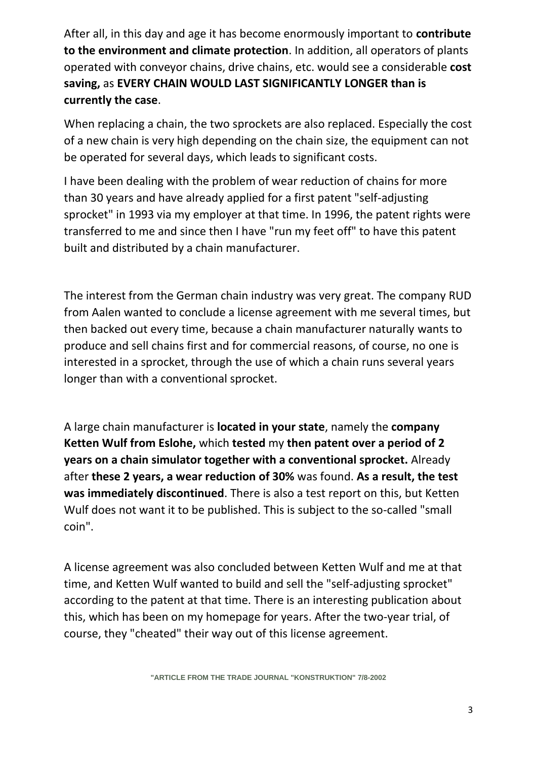After all, in this day and age it has become enormously important to **contribute to the environment and climate protection**. In addition, all operators of plants operated with conveyor chains, drive chains, etc. would see a considerable **cost saving,** as **EVERY CHAIN WOULD LAST SIGNIFICANTLY LONGER than is currently the case**.

When replacing a chain, the two sprockets are also replaced. Especially the cost of a new chain is very high depending on the chain size, the equipment can not be operated for several days, which leads to significant costs.

I have been dealing with the problem of wear reduction of chains for more than 30 years and have already applied for a first patent "self-adjusting sprocket" in 1993 via my employer at that time. In 1996, the patent rights were transferred to me and since then I have "run my feet off" to have this patent built and distributed by a chain manufacturer.

The interest from the German chain industry was very great. The company RUD from Aalen wanted to conclude a license agreement with me several times, but then backed out every time, because a chain manufacturer naturally wants to produce and sell chains first and for commercial reasons, of course, no one is interested in a sprocket, through the use of which a chain runs several years longer than with a conventional sprocket.

A large chain manufacturer is **located in your state**, namely the **company Ketten Wulf from Eslohe,** which **tested** my **then patent over a period of 2 years on a chain simulator together with a conventional sprocket.** Already after **these 2 years, a wear reduction of 30%** was found. **As a result, the test was immediately discontinued**. There is also a test report on this, but Ketten Wulf does not want it to be published. This is subject to the so-called "small coin".

A license agreement was also concluded between Ketten Wulf and me at that time, and Ketten Wulf wanted to build and sell the "self-adjusting sprocket" according to the patent at that time. There is an interesting publication about this, which has been on my homepage for years. After the two-year trial, of course, they "cheated" their way out of this license agreement.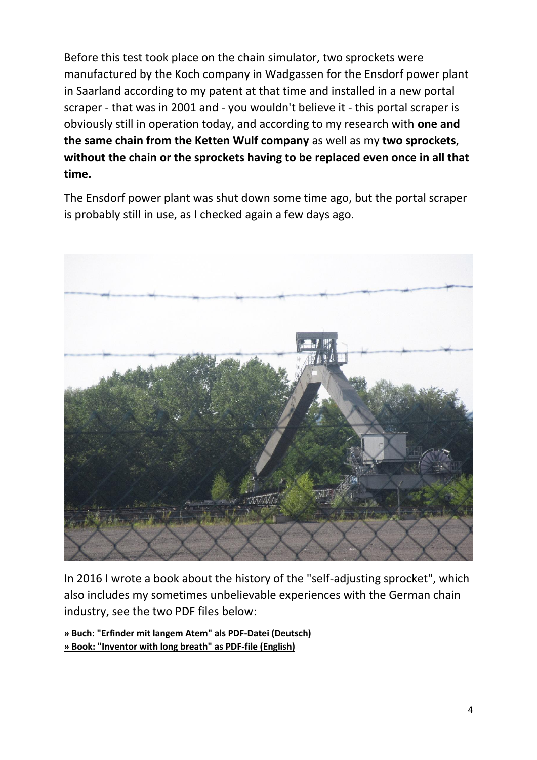Before this test took place on the chain simulator, two sprockets were manufactured by the Koch company in Wadgassen for the Ensdorf power plant in Saarland according to my patent at that time and installed in a new portal scraper - that was in 2001 and - you wouldn't believe it - this portal scraper is obviously still in operation today, and according to my research with **one and the same chain from the Ketten Wulf company** as well as my **two sprockets**, **without the chain or the sprockets having to be replaced even once in all that time.**

The Ensdorf power plant was shut down some time ago, but the portal scraper is probably still in use, as I checked again a few days ago.



In 2016 I wrote a book about the history of the "self-adjusting sprocket", which also includes my sometimes unbelievable experiences with the German chain industry, see the two PDF files below:

**[» Buch: "Erfinder mit langem Atem" als PDF-Datei \(Deutsch\)](https://selbsteinstellendes-kettenrad.com/downloads/Erfinder-mit-langem-Atem---ebook-mit-Rueckseite.pdf) [» Book: "Inventor with long breath" as PDF-file \(English\)](https://selbsteinstellendes-kettenrad.com/downloads/Erfinder-mit-langem-Atem---Englisch.pdf)**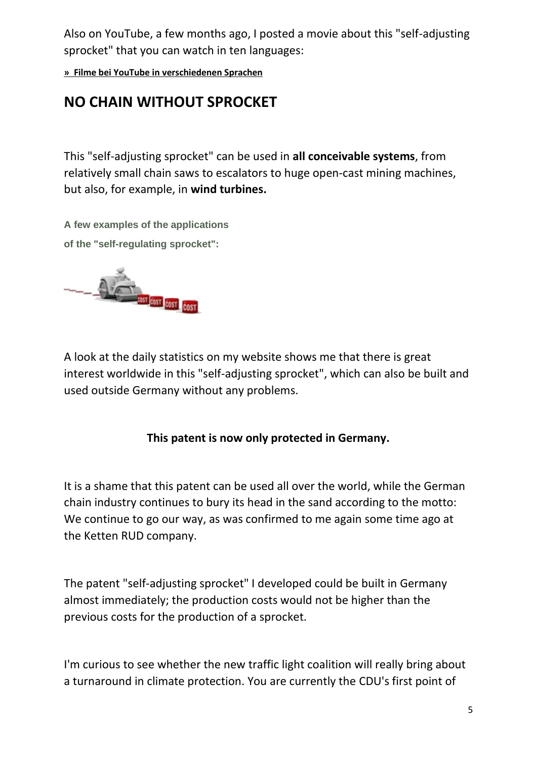Also on YouTube, a few months ago, I posted a movie about this "self-adjusting sprocket" that you can watch in ten languages:

**[» Filme bei YouTube in verschiedenen Sprachen](https://www.selbsteinstellendes-kettenrad.com/yt.php)**

## **NO CHAIN WITHOUT SPROCKET**

This "self-adjusting sprocket" can be used in **all conceivable systems**, from relatively small chain saws to escalators to huge open-cast mining machines, but also, for example, in **wind turbines.** 

**[A few examples of the applications](https://selbsteinstellendes-kettenrad.com/downloads/Einsatzmoeglichkeiten-des-selbsteinstellenden-Kettenrades-ENGLISCH.pdf) [of the "self-regulating sprocket":](https://selbsteinstellendes-kettenrad.com/downloads/Einsatzmoeglichkeiten-des-selbsteinstellenden-Kettenrades-ENGLISCH.pdf)**



A look at the daily statistics on my website shows me that there is great interest worldwide in this "self-adjusting sprocket", which can also be built and used outside Germany without any problems.

## **This patent is now only protected in Germany.**

It is a shame that this patent can be used all over the world, while the German chain industry continues to bury its head in the sand according to the motto: We continue to go our way, as was confirmed to me again some time ago at the Ketten RUD company.

The patent "self-adjusting sprocket" I developed could be built in Germany almost immediately; the production costs would not be higher than the previous costs for the production of a sprocket.

I'm curious to see whether the new traffic light coalition will really bring about a turnaround in climate protection. You are currently the CDU's first point of